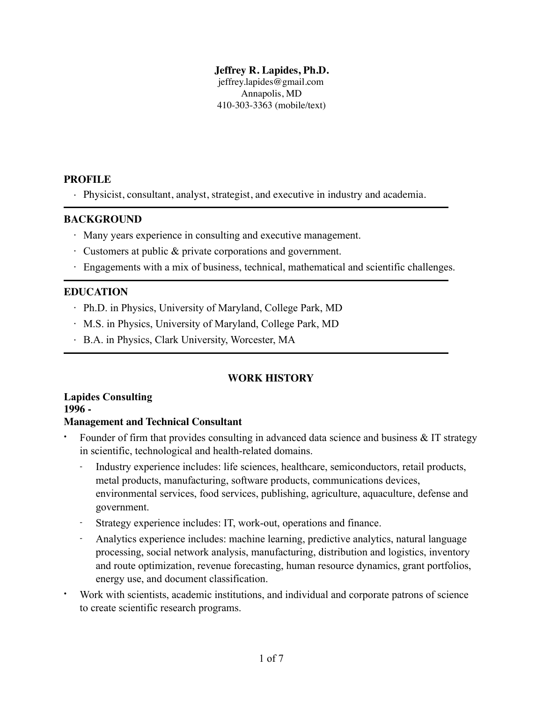### **Jeffrey R. Lapides, Ph.D.**

jeffrey.lapides@gmail.com Annapolis, MD 410-303-3363 (mobile/text)

## **PROFILE**

· Physicist, consultant, analyst, strategist, and executive in industry and academia.

### **BACKGROUND**

- · Many years experience in consulting and executive management.
- · Customers at public & private corporations and government.
- · Engagements with a mix of business, technical, mathematical and scientific challenges.

## **EDUCATION**

- · Ph.D. in Physics, University of Maryland, College Park, MD
- · M.S. in Physics, University of Maryland, College Park, MD
- · B.A. in Physics, Clark University, Worcester, MA

## **WORK HISTORY**

**Lapides Consulting 1996 -** 

## **Management and Technical Consultant**

- Founder of firm that provides consulting in advanced data science and business  $& IT$  strategy in scientific, technological and health-related domains.
	- Industry experience includes: life sciences, healthcare, semiconductors, retail products, metal products, manufacturing, software products, communications devices, environmental services, food services, publishing, agriculture, aquaculture, defense and government.
	- Strategy experience includes: IT, work-out, operations and finance.
	- Analytics experience includes: machine learning, predictive analytics, natural language processing, social network analysis, manufacturing, distribution and logistics, inventory and route optimization, revenue forecasting, human resource dynamics, grant portfolios, energy use, and document classification.
- Work with scientists, academic institutions, and individual and corporate patrons of science to create scientific research programs.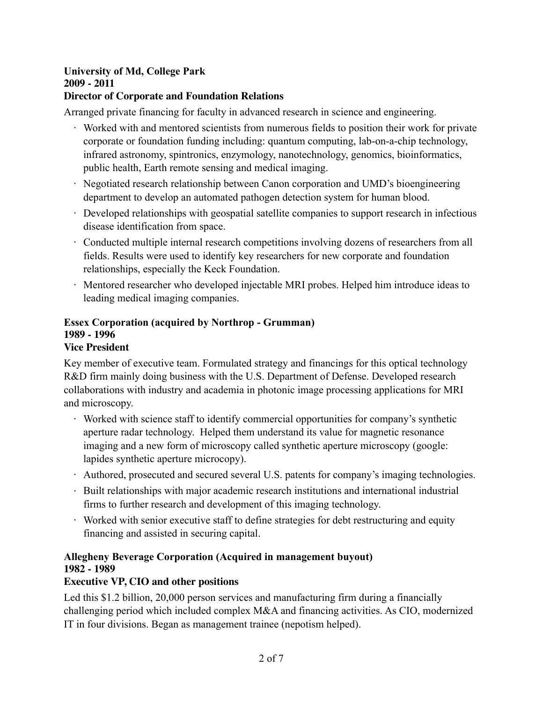### **University of Md, College Park 2009 - 2011 Director of Corporate and Foundation Relations**

Arranged private financing for faculty in advanced research in science and engineering.

- · Worked with and mentored scientists from numerous fields to position their work for private corporate or foundation funding including: quantum computing, lab-on-a-chip technology, infrared astronomy, spintronics, enzymology, nanotechnology, genomics, bioinformatics, public health, Earth remote sensing and medical imaging.
- · Negotiated research relationship between Canon corporation and UMD's bioengineering department to develop an automated pathogen detection system for human blood.
- · Developed relationships with geospatial satellite companies to support research in infectious disease identification from space.
- · Conducted multiple internal research competitions involving dozens of researchers from all fields. Results were used to identify key researchers for new corporate and foundation relationships, especially the Keck Foundation.
- · Mentored researcher who developed injectable MRI probes. Helped him introduce ideas to leading medical imaging companies.

#### **Essex Corporation (acquired by Northrop - Grumman) 1989 - 1996 Vice President**

Key member of executive team. Formulated strategy and financings for this optical technology R&D firm mainly doing business with the U.S. Department of Defense. Developed research collaborations with industry and academia in photonic image processing applications for MRI and microscopy.

- · Worked with science staff to identify commercial opportunities for company's synthetic aperture radar technology. Helped them understand its value for magnetic resonance imaging and a new form of microscopy called synthetic aperture microscopy (google: lapides synthetic aperture microcopy).
- · Authored, prosecuted and secured several U.S. patents for company's imaging technologies.
- · Built relationships with major academic research institutions and international industrial firms to further research and development of this imaging technology.
- · Worked with senior executive staff to define strategies for debt restructuring and equity financing and assisted in securing capital.

## **Allegheny Beverage Corporation (Acquired in management buyout) 1982 - 1989**

## **Executive VP, CIO and other positions**

Led this \$1.2 billion, 20,000 person services and manufacturing firm during a financially challenging period which included complex M&A and financing activities. As CIO, modernized IT in four divisions. Began as management trainee (nepotism helped).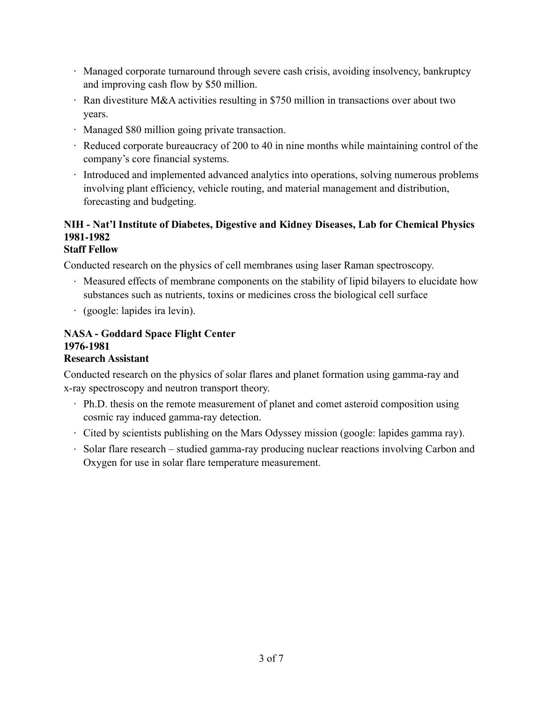- · Managed corporate turnaround through severe cash crisis, avoiding insolvency, bankruptcy and improving cash flow by \$50 million.
- · Ran divestiture M&A activities resulting in \$750 million in transactions over about two years.
- · Managed \$80 million going private transaction.
- · Reduced corporate bureaucracy of 200 to 40 in nine months while maintaining control of the company's core financial systems.
- · Introduced and implemented advanced analytics into operations, solving numerous problems involving plant efficiency, vehicle routing, and material management and distribution, forecasting and budgeting.

# **NIH - Nat'l Institute of Diabetes, Digestive and Kidney Diseases, Lab for Chemical Physics 1981-1982**

## **Staff Fellow**

Conducted research on the physics of cell membranes using laser Raman spectroscopy.

- · Measured effects of membrane components on the stability of lipid bilayers to elucidate how substances such as nutrients, toxins or medicines cross the biological cell surface
- · (google: lapides ira levin).

## **NASA - Goddard Space Flight Center 1976-1981**

## **Research Assistant**

Conducted research on the physics of solar flares and planet formation using gamma-ray and x-ray spectroscopy and neutron transport theory.

- · Ph.D. thesis on the remote measurement of planet and comet asteroid composition using cosmic ray induced gamma-ray detection.
- · Cited by scientists publishing on the Mars Odyssey mission (google: lapides gamma ray).
- · Solar flare research studied gamma-ray producing nuclear reactions involving Carbon and Oxygen for use in solar flare temperature measurement.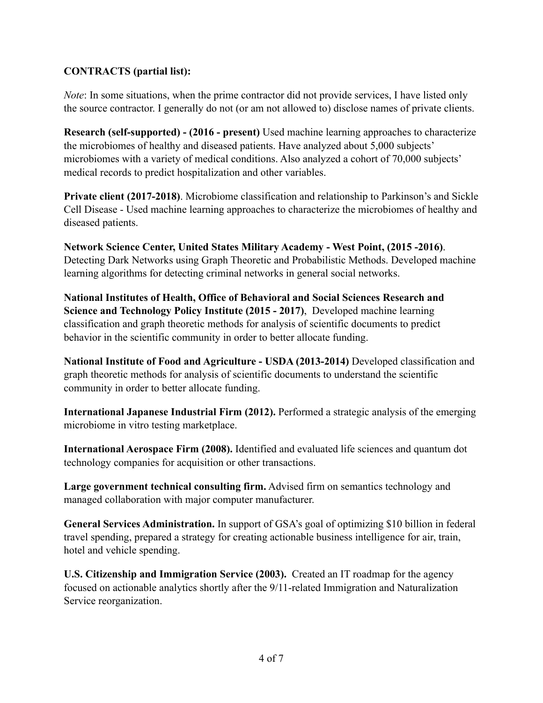## **CONTRACTS (partial list):**

*Note*: In some situations, when the prime contractor did not provide services, I have listed only the source contractor. I generally do not (or am not allowed to) disclose names of private clients.

**Research (self-supported) - (2016 - present)** Used machine learning approaches to characterize the microbiomes of healthy and diseased patients. Have analyzed about 5,000 subjects' microbiomes with a variety of medical conditions. Also analyzed a cohort of 70,000 subjects' medical records to predict hospitalization and other variables.

**Private client (2017-2018)**. Microbiome classification and relationship to Parkinson's and Sickle Cell Disease - Used machine learning approaches to characterize the microbiomes of healthy and diseased patients.

**Network Science Center, United States Military Academy - West Point, (2015 -2016)**. Detecting Dark Networks using Graph Theoretic and Probabilistic Methods. Developed machine learning algorithms for detecting criminal networks in general social networks.

**National Institutes of Health, Office of Behavioral and Social Sciences Research and Science and Technology Policy Institute (2015 - 2017)**, Developed machine learning classification and graph theoretic methods for analysis of scientific documents to predict behavior in the scientific community in order to better allocate funding.

**National Institute of Food and Agriculture - USDA (2013-2014)** Developed classification and graph theoretic methods for analysis of scientific documents to understand the scientific community in order to better allocate funding.

**International Japanese Industrial Firm (2012).** Performed a strategic analysis of the emerging microbiome in vitro testing marketplace.

**International Aerospace Firm (2008).** Identified and evaluated life sciences and quantum dot technology companies for acquisition or other transactions.

**Large government technical consulting firm.** Advised firm on semantics technology and managed collaboration with major computer manufacturer.

**General Services Administration.** In support of GSA's goal of optimizing \$10 billion in federal travel spending, prepared a strategy for creating actionable business intelligence for air, train, hotel and vehicle spending.

**U.S. Citizenship and Immigration Service (2003).** Created an IT roadmap for the agency focused on actionable analytics shortly after the 9/11-related Immigration and Naturalization Service reorganization.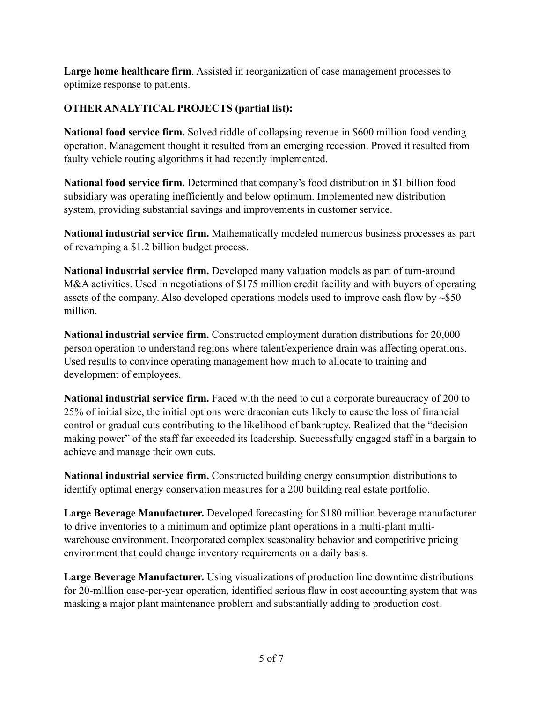**Large home healthcare firm**. Assisted in reorganization of case management processes to optimize response to patients.

## **OTHER ANALYTICAL PROJECTS (partial list):**

**National food service firm.** Solved riddle of collapsing revenue in \$600 million food vending operation. Management thought it resulted from an emerging recession. Proved it resulted from faulty vehicle routing algorithms it had recently implemented.

**National food service firm.** Determined that company's food distribution in \$1 billion food subsidiary was operating inefficiently and below optimum. Implemented new distribution system, providing substantial savings and improvements in customer service.

**National industrial service firm.** Mathematically modeled numerous business processes as part of revamping a \$1.2 billion budget process.

**National industrial service firm.** Developed many valuation models as part of turn-around M&A activities. Used in negotiations of \$175 million credit facility and with buyers of operating assets of the company. Also developed operations models used to improve cash flow by ~\$50 million.

**National industrial service firm.** Constructed employment duration distributions for 20,000 person operation to understand regions where talent/experience drain was affecting operations. Used results to convince operating management how much to allocate to training and development of employees.

**National industrial service firm.** Faced with the need to cut a corporate bureaucracy of 200 to 25% of initial size, the initial options were draconian cuts likely to cause the loss of financial control or gradual cuts contributing to the likelihood of bankruptcy. Realized that the "decision making power" of the staff far exceeded its leadership. Successfully engaged staff in a bargain to achieve and manage their own cuts.

**National industrial service firm.** Constructed building energy consumption distributions to identify optimal energy conservation measures for a 200 building real estate portfolio.

**Large Beverage Manufacturer.** Developed forecasting for \$180 million beverage manufacturer to drive inventories to a minimum and optimize plant operations in a multi-plant multiwarehouse environment. Incorporated complex seasonality behavior and competitive pricing environment that could change inventory requirements on a daily basis.

**Large Beverage Manufacturer.** Using visualizations of production line downtime distributions for 20-mlllion case-per-year operation, identified serious flaw in cost accounting system that was masking a major plant maintenance problem and substantially adding to production cost.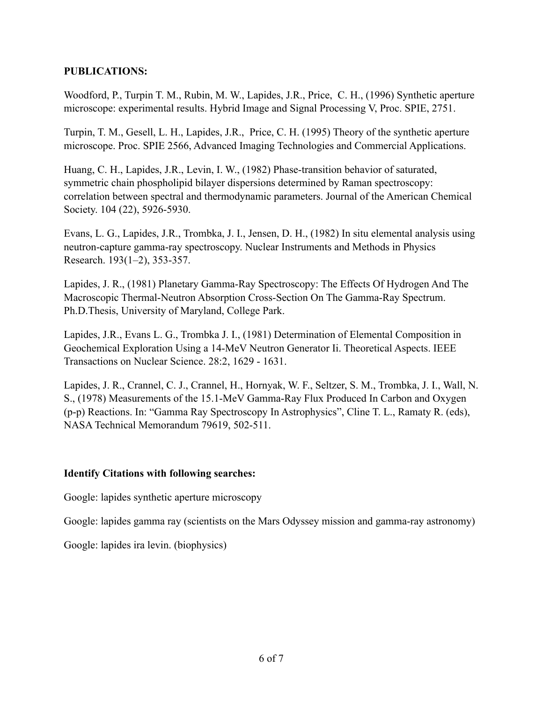## **PUBLICATIONS:**

Woodford, P., Turpin T. M., Rubin, M. W., Lapides, J.R., Price, C. H., (1996) Synthetic aperture microscope: experimental results. Hybrid Image and Signal Processing V, Proc. SPIE, 2751.

Turpin, T. M., Gesell, L. H., Lapides, J.R., Price, C. H. (1995) Theory of the synthetic aperture microscope. Proc. SPIE 2566, Advanced Imaging Technologies and Commercial Applications.

Huang, C. H., Lapides, J.R., Levin, I. W., (1982) Phase-transition behavior of saturated, symmetric chain phospholipid bilayer dispersions determined by Raman spectroscopy: correlation between spectral and thermodynamic parameters. Journal of the American Chemical Society. 104 (22), 5926-5930.

Evans, L. G., Lapides, J.R., Trombka, J. I., Jensen, D. H., (1982) In situ elemental analysis using neutron-capture gamma-ray spectroscopy. Nuclear Instruments and Methods in Physics Research. 193(1–2), 353-357.

Lapides, J. R., (1981) Planetary Gamma-Ray Spectroscopy: The Effects Of Hydrogen And The Macroscopic Thermal-Neutron Absorption Cross-Section On The Gamma-Ray Spectrum. Ph.D.Thesis, University of Maryland, College Park.

Lapides, J.R., Evans L. G., Trombka J. I., (1981) Determination of Elemental Composition in Geochemical Exploration Using a 14-MeV Neutron Generator Ii. Theoretical Aspects. IEEE Transactions on Nuclear Science. 28:2, 1629 - 1631.

Lapides, J. R., Crannel, C. J., Crannel, H., Hornyak, W. F., Seltzer, S. M., Trombka, J. I., Wall, N. S., (1978) Measurements of the 15.1-MeV Gamma-Ray Flux Produced In Carbon and Oxygen (p-p) Reactions. In: "Gamma Ray Spectroscopy In Astrophysics", Cline T. L., Ramaty R. (eds), NASA Technical Memorandum 79619, 502-511.

## **Identify Citations with following searches:**

Google: lapides synthetic aperture microscopy

Google: lapides gamma ray (scientists on the Mars Odyssey mission and gamma-ray astronomy)

Google: lapides ira levin. (biophysics)